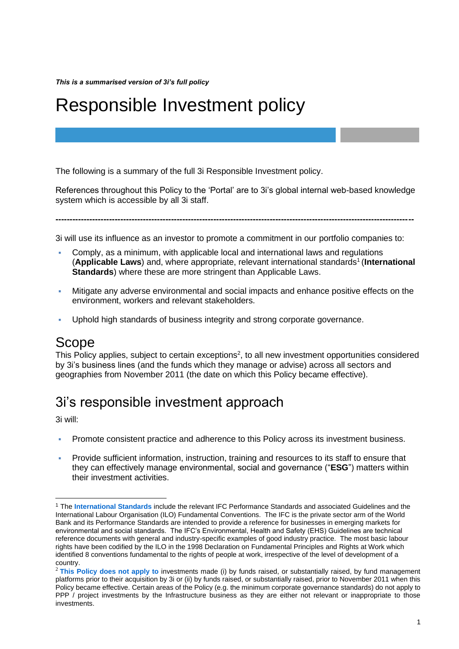# Responsible Investment policy

The following is a summary of the full 3i Responsible Investment policy.

References throughout this Policy to the 'Portal' are to 3i's global internal web-based knowledge system which is accessible by all 3i staff.

**-------------------------------------------------------------------------------------------------------------------------------**

3i will use its influence as an investor to promote a commitment in our portfolio companies to:

- Comply, as a minimum, with applicable local and international laws and regulations (Applicable Laws) and, where appropriate, relevant international standards<sup>1</sup> (International **Standards**) where these are more stringent than Applicable Laws.
- Mitigate any adverse environmental and social impacts and enhance positive effects on the environment, workers and relevant stakeholders.
- Uphold high standards of business integrity and strong corporate governance.

## Scope

This Policy applies, subject to certain exceptions<sup>2</sup>, to all new investment opportunities considered by 3i's business lines (and the funds which they manage or advise) across all sectors and geographies from November 2011 (the date on which this Policy became effective).

## 3i's responsible investment approach

3i will:

- Promote consistent practice and adherence to this Policy across its investment business.
- Provide sufficient information, instruction, training and resources to its staff to ensure that they can effectively manage environmental, social and governance ("**ESG**") matters within their investment activities.

<sup>1</sup> The **International Standards** include the relevant IFC Performance Standards and associated Guidelines and the International Labour Organisation (ILO) Fundamental Conventions. The IFC is the private sector arm of the World Bank and its Performance Standards are intended to provide a reference for businesses in emerging markets for environmental and social standards. The IFC's Environmental, Health and Safety (EHS) Guidelines are technical reference documents with general and industry-specific examples of good industry practice. The most basic labour rights have been codified by the ILO in the 1998 Declaration on Fundamental Principles and Rights at Work which identified 8 conventions fundamental to the rights of people at work, irrespective of the level of development of a country.

<sup>&</sup>lt;sup>2</sup> This Policy does not apply to investments made (i) by funds raised, or substantially raised, by fund management platforms prior to their acquisition by 3i or (ii) by funds raised, or substantially raised, prior to November 2011 when this Policy became effective. Certain areas of the Policy (e.g. the minimum corporate governance standards) do not apply to PPP / project investments by the Infrastructure business as they are either not relevant or inappropriate to those investments.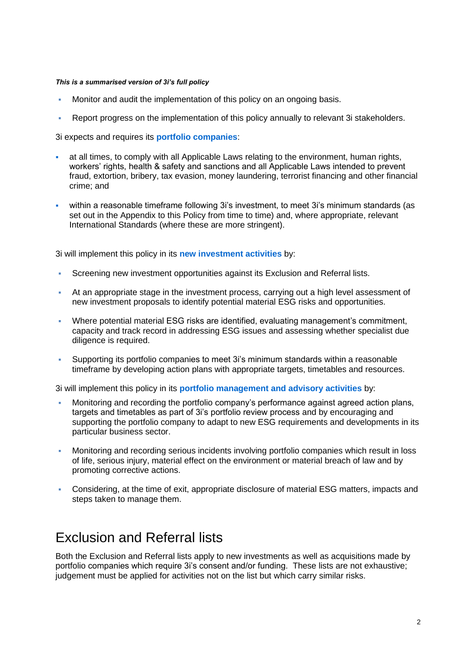- Monitor and audit the implementation of this policy on an ongoing basis.
- Report progress on the implementation of this policy annually to relevant 3i stakeholders.

3i expects and requires its **portfolio companies**:

- at all times, to comply with all Applicable Laws relating to the environment, human rights, workers' rights, health & safety and sanctions and all Applicable Laws intended to prevent fraud, extortion, bribery, tax evasion, money laundering, terrorist financing and other financial crime; and
- within a reasonable timeframe following 3i's investment, to meet 3i's minimum standards (as set out in the Appendix to this Policy from time to time) and, where appropriate, relevant International Standards (where these are more stringent).

3i will implement this policy in its **new investment activities** by:

- **Screening new investment opportunities against its Exclusion and Referral lists.**
- At an appropriate stage in the investment process, carrying out a high level assessment of new investment proposals to identify potential material ESG risks and opportunities.
- Where potential material ESG risks are identified, evaluating management's commitment, capacity and track record in addressing ESG issues and assessing whether specialist due diligence is required.
- Supporting its portfolio companies to meet 3i's minimum standards within a reasonable timeframe by developing action plans with appropriate targets, timetables and resources.

3i will implement this policy in its **portfolio management and advisory activities** by:

- Monitoring and recording the portfolio company's performance against agreed action plans, targets and timetables as part of 3i's portfolio review process and by encouraging and supporting the portfolio company to adapt to new ESG requirements and developments in its particular business sector.
- **Monitoring and recording serious incidents involving portfolio companies which result in loss** of life, serious injury, material effect on the environment or material breach of law and by promoting corrective actions.
- Considering, at the time of exit, appropriate disclosure of material ESG matters, impacts and steps taken to manage them.

## Exclusion and Referral lists

Both the Exclusion and Referral lists apply to new investments as well as acquisitions made by portfolio companies which require 3i's consent and/or funding. These lists are not exhaustive; judgement must be applied for activities not on the list but which carry similar risks.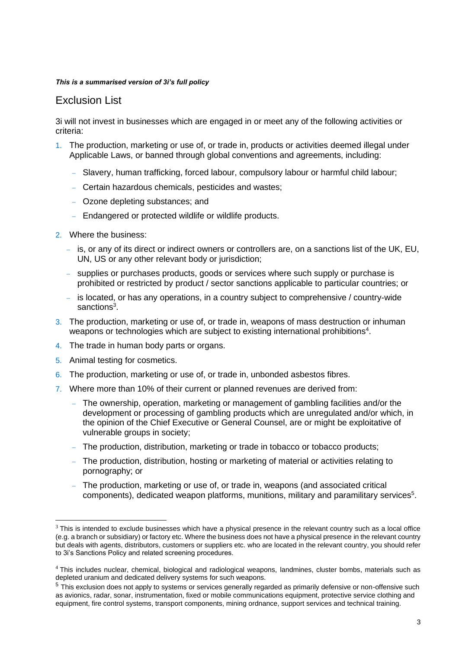### Exclusion List

3i will not invest in businesses which are engaged in or meet any of the following activities or criteria:

- 1. The production, marketing or use of, or trade in, products or activities deemed illegal under Applicable Laws, or banned through global conventions and agreements, including:
	- − Slavery, human trafficking, forced labour, compulsory labour or harmful child labour;
	- − Certain hazardous chemicals, pesticides and wastes;
	- − Ozone depleting substances; and
	- − Endangered or protected wildlife or wildlife products.
- 2. Where the business:
	- − is, or any of its direct or indirect owners or controllers are, on a sanctions list of the UK, EU, UN, US or any other relevant body or jurisdiction;
	- − supplies or purchases products, goods or services where such supply or purchase is prohibited or restricted by product / sector sanctions applicable to particular countries; or
	- − is located, or has any operations, in a country subject to comprehensive / country-wide sanctions<sup>3</sup>.
- 3. The production, marketing or use of, or trade in, weapons of mass destruction or inhuman weapons or technologies which are subject to existing international prohibitions<sup>4</sup>.
- 4. The trade in human body parts or organs.
- 5. Animal testing for cosmetics.
- 6. The production, marketing or use of, or trade in, unbonded asbestos fibres.
- 7. Where more than 10% of their current or planned revenues are derived from:
	- − The ownership, operation, marketing or management of gambling facilities and/or the development or processing of gambling products which are unregulated and/or which, in the opinion of the Chief Executive or General Counsel, are or might be exploitative of vulnerable groups in society;
	- − The production, distribution, marketing or trade in tobacco or tobacco products;
	- − The production, distribution, hosting or marketing of material or activities relating to pornography; or
	- The production, marketing or use of, or trade in, weapons (and associated critical components), dedicated weapon platforms, munitions, military and paramilitary services<sup>5</sup>.

 $3$  This is intended to exclude businesses which have a physical presence in the relevant country such as a local office (e.g. a branch or subsidiary) or factory etc. Where the business does not have a physical presence in the relevant country but deals with agents, distributors, customers or suppliers etc. who are located in the relevant country, you should refer to 3i's Sanctions Policy and related screening procedures.

<sup>4</sup> This includes nuclear, chemical, biological and radiological weapons, landmines, cluster bombs, materials such as depleted uranium and dedicated delivery systems for such weapons.

 $<sup>5</sup>$  This exclusion does not apply to systems or services generally regarded as primarily defensive or non-offensive such</sup> as avionics, radar, sonar, instrumentation, fixed or mobile communications equipment, protective service clothing and equipment, fire control systems, transport components, mining ordnance, support services and technical training.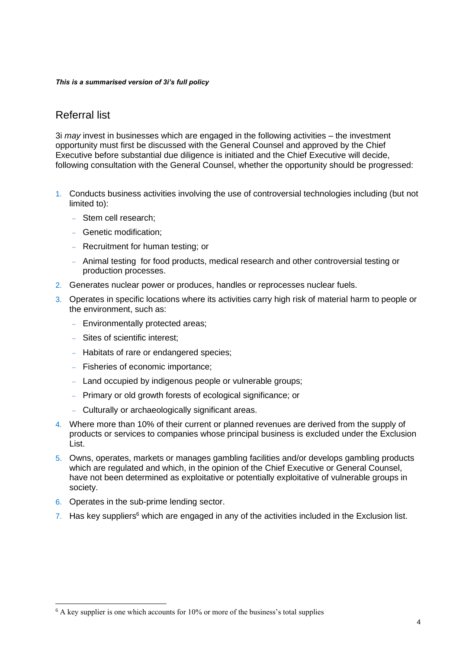## Referral list

3i *may* invest in businesses which are engaged in the following activities – the investment opportunity must first be discussed with the General Counsel and approved by the Chief Executive before substantial due diligence is initiated and the Chief Executive will decide, following consultation with the General Counsel, whether the opportunity should be progressed:

- 1. Conducts business activities involving the use of controversial technologies including (but not limited to):
	- − Stem cell research;
	- − Genetic modification;
	- − Recruitment for human testing; or
	- − Animal testing for food products, medical research and other controversial testing or production processes.
- 2. Generates nuclear power or produces, handles or reprocesses nuclear fuels.
- 3. Operates in specific locations where its activities carry high risk of material harm to people or the environment, such as:
	- − Environmentally protected areas;
	- − Sites of scientific interest;
	- − Habitats of rare or endangered species;
	- − Fisheries of economic importance;
	- − Land occupied by indigenous people or vulnerable groups;
	- − Primary or old growth forests of ecological significance; or
	- − Culturally or archaeologically significant areas.
- 4. Where more than 10% of their current or planned revenues are derived from the supply of products or services to companies whose principal business is excluded under the Exclusion List.
- 5. Owns, operates, markets or manages gambling facilities and/or develops gambling products which are regulated and which, in the opinion of the Chief Executive or General Counsel, have not been determined as exploitative or potentially exploitative of vulnerable groups in society.
- 6. Operates in the sub-prime lending sector.
- 7. Has key suppliers<sup>6</sup> which are engaged in any of the activities included in the Exclusion list.

 $6$  A key supplier is one which accounts for 10% or more of the business's total supplies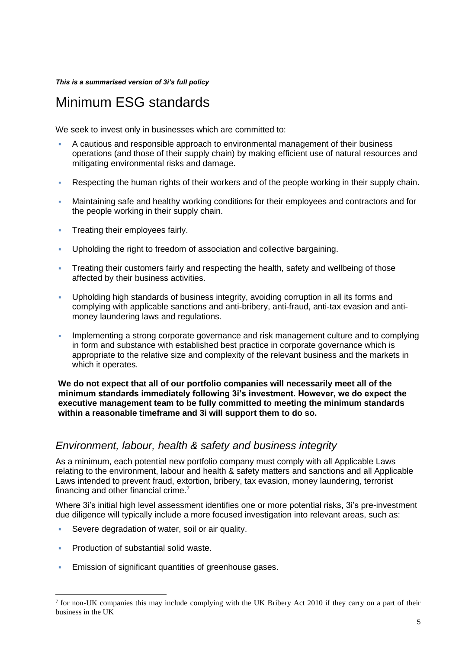## Minimum ESG standards

We seek to invest only in businesses which are committed to:

- A cautious and responsible approach to environmental management of their business operations (and those of their supply chain) by making efficient use of natural resources and mitigating environmental risks and damage.
- Respecting the human rights of their workers and of the people working in their supply chain.
- Maintaining safe and healthy working conditions for their employees and contractors and for the people working in their supply chain.
- **Treating their employees fairly.**
- Upholding the right to freedom of association and collective bargaining.
- Treating their customers fairly and respecting the health, safety and wellbeing of those affected by their business activities.
- Upholding high standards of business integrity, avoiding corruption in all its forms and complying with applicable sanctions and anti-bribery, anti-fraud, anti-tax evasion and antimoney laundering laws and regulations.
- **Implementing a strong corporate governance and risk management culture and to complying** in form and substance with established best practice in corporate governance which is appropriate to the relative size and complexity of the relevant business and the markets in which it operates.

### **We do not expect that all of our portfolio companies will necessarily meet all of the minimum standards immediately following 3i's investment. However, we do expect the executive management team to be fully committed to meeting the minimum standards within a reasonable timeframe and 3i will support them to do so.**

### *Environment, labour, health & safety and business integrity*

As a minimum, each potential new portfolio company must comply with all Applicable Laws relating to the environment, labour and health & safety matters and sanctions and all Applicable Laws intended to prevent fraud, extortion, bribery, tax evasion, money laundering, terrorist financing and other financial crime.<sup>7</sup>

Where 3i's initial high level assessment identifies one or more potential risks, 3i's pre-investment due diligence will typically include a more focused investigation into relevant areas, such as:

- Severe degradation of water, soil or air quality.
- **Production of substantial solid waste.**
- **Emission of significant quantities of greenhouse gases.**

<sup>7</sup> for non-UK companies this may include complying with the UK Bribery Act 2010 if they carry on a part of their business in the UK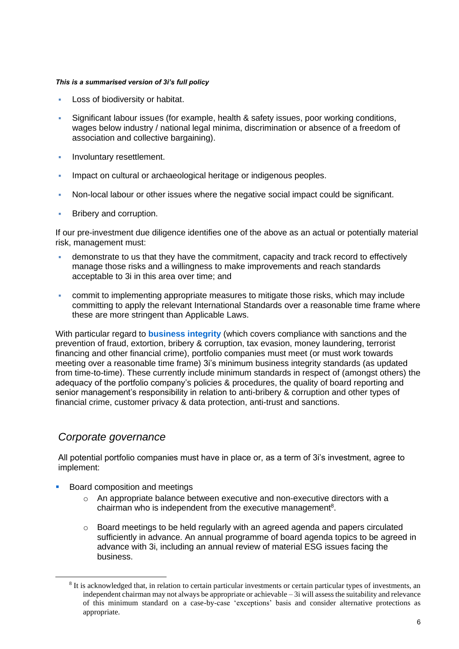- Loss of biodiversity or habitat.
- Significant labour issues (for example, health & safety issues, poor working conditions, wages below industry / national legal minima, discrimination or absence of a freedom of association and collective bargaining).
- **·** Involuntary resettlement.
- **·** Impact on cultural or archaeological heritage or indigenous peoples.
- Non-local labour or other issues where the negative social impact could be significant.
- **EXECUTE:** Bribery and corruption.

If our pre-investment due diligence identifies one of the above as an actual or potentially material risk, management must:

- demonstrate to us that they have the commitment, capacity and track record to effectively manage those risks and a willingness to make improvements and reach standards acceptable to 3i in this area over time; and
- **commit to implementing appropriate measures to mitigate those risks, which may include** committing to apply the relevant International Standards over a reasonable time frame where these are more stringent than Applicable Laws.

With particular regard to **business integrity** (which covers compliance with sanctions and the prevention of fraud, extortion, bribery & corruption, tax evasion, money laundering, terrorist financing and other financial crime), portfolio companies must meet (or must work towards meeting over a reasonable time frame) 3i's minimum business integrity standards (as updated from time-to-time). These currently include minimum standards in respect of (amongst others) the adequacy of the portfolio company's policies & procedures, the quality of board reporting and senior management's responsibility in relation to anti-bribery & corruption and other types of financial crime, customer privacy & data protection, anti-trust and sanctions.

## *Corporate governance*

All potential portfolio companies must have in place or, as a term of 3i's investment, agree to implement:

- Board composition and meetings
	- $\circ$  An appropriate balance between executive and non-executive directors with a chairman who is independent from the executive management $8$ .
	- $\circ$  Board meetings to be held regularly with an agreed agenda and papers circulated sufficiently in advance. An annual programme of board agenda topics to be agreed in advance with 3i, including an annual review of material ESG issues facing the business.

<sup>&</sup>lt;sup>8</sup> It is acknowledged that, in relation to certain particular investments or certain particular types of investments, an independent chairman may not always be appropriate or achievable – 3i will assess the suitability and relevance of this minimum standard on a case-by-case 'exceptions' basis and consider alternative protections as appropriate.